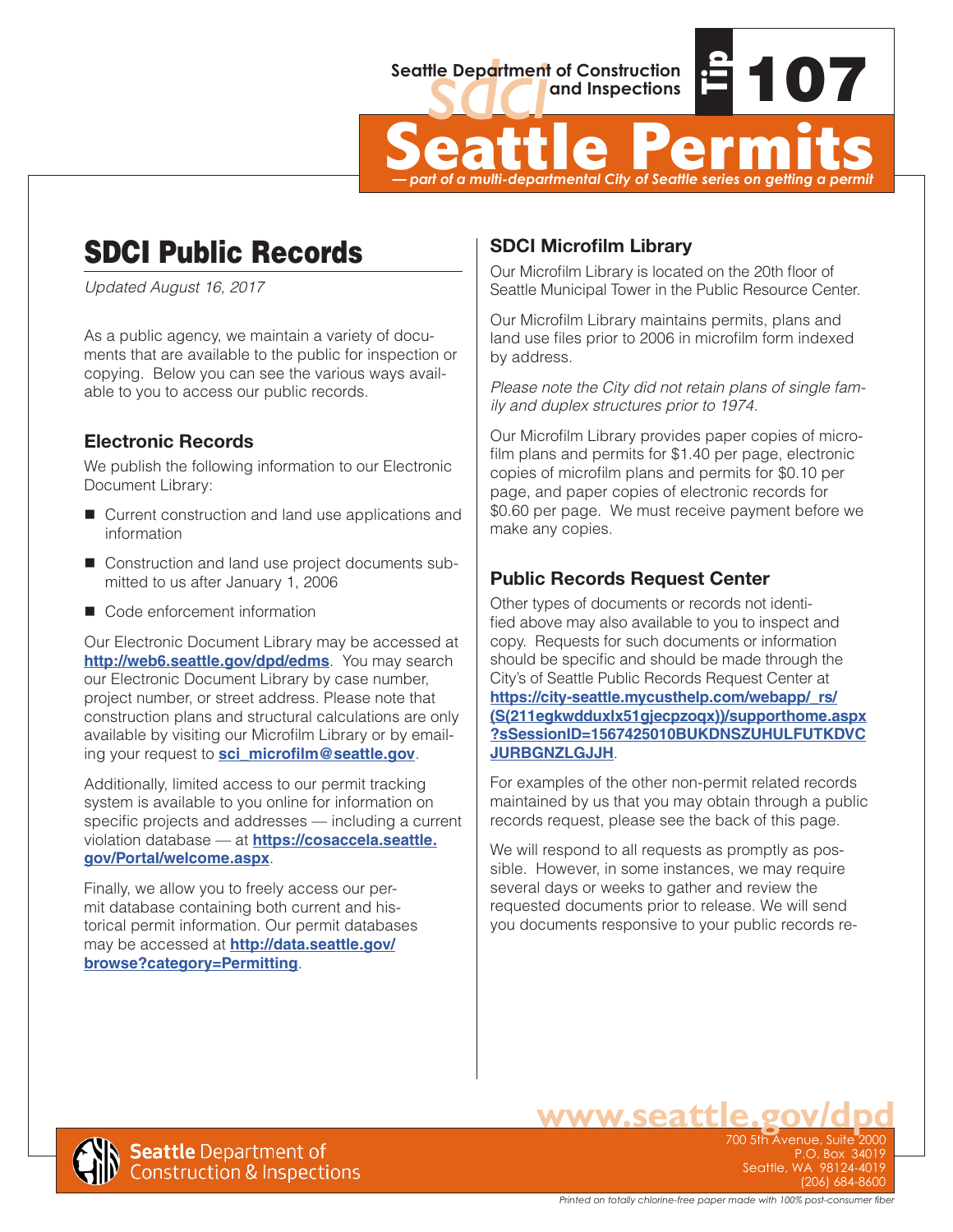

Seattle Department of Construction<br> **Seattle Permits**<br>  $\frac{1}{2}$  **Tipper**<br>  $\frac{1}{2}$  **Tipper**<br>  $\frac{1}{2}$  **Tipper**<br>  $\frac{1}{2}$  **Tipper**<br>  $\frac{1}{2}$  **Tipper** *— part of a multi-departmental City of Seattle series on getting a permit*

# SDCI Public Records

*Updated August 16, 2017*

As a public agency, we maintain a variety of documents that are available to the public for inspection or copying. Below you can see the various ways available to you to access our public records.

## **Electronic Records**

We publish the following information to our Electronic Document Library:

- Current construction and land use applications and information
- Construction and land use project documents submitted to us after January 1, 2006
- Code enforcement information

Our Electronic Document Library may be accessed at **<http://web6.seattle.gov/dpd/edms>**. You may search our Electronic Document Library by case number, project number, or street address. Please note that construction plans and structural calculations are only available by visiting our Microfilm Library or by emailing your request to **[sci\\_microfilm@seattle.gov](mailto:sci_microfilm@seattle.gov)**.

Additionally, limited access to our permit tracking system is available to you online for information on specific projects and addresses — including a current violation database — at **[https://cosaccela.seattle.](https://cosaccela.seattle.gov/Portal/welcome.aspx) [gov/Portal/welcome.aspx](https://cosaccela.seattle.gov/Portal/welcome.aspx)**.

Finally, we allow you to freely access our permit database containing both current and historical permit information. Our permit databases may be accessed at **[http://data.seattle.gov/](http://data.seattle.gov/browse?category=Permitting) [browse?category=Permitting](http://data.seattle.gov/browse?category=Permitting)**.

## **SDCI Microfilm Library**

Our Microfilm Library is located on the 20th floor of Seattle Municipal Tower in the Public Resource Center.

Our Microfilm Library maintains permits, plans and land use files prior to 2006 in microfilm form indexed by address.

*Please note the City did not retain plans of single family and duplex structures prior to 1974.* 

Our Microfilm Library provides paper copies of microfilm plans and permits for \$1.40 per page, electronic copies of microfilm plans and permits for \$0.10 per page, and paper copies of electronic records for \$0.60 per page. We must receive payment before we make any copies.

## **Public Records Request Center**

Other types of documents or records not identified above may also available to you to inspect and copy. Requests for such documents or information should be specific and should be made through the City's of Seattle Public Records Request Center at **[https://city-seattle.mycusthelp.com/webapp/\\_rs/](https://city-seattle.mycusthelp.com/webapp/_rs/(S(211egkwdduxlx51gjecpzoqx))/supporthome.aspx?sSessionID=1567425010BUKDNSZUHULFUTKDVCJURBGNZLGJJH) [\(S\(211egkwdduxlx51gjecpzoqx\)\)/supporthome.aspx](https://city-seattle.mycusthelp.com/webapp/_rs/(S(211egkwdduxlx51gjecpzoqx))/supporthome.aspx?sSessionID=1567425010BUKDNSZUHULFUTKDVCJURBGNZLGJJH) [?sSessionID=1567425010BUKDNSZUHULFUTKDVC](https://city-seattle.mycusthelp.com/webapp/_rs/(S(211egkwdduxlx51gjecpzoqx))/supporthome.aspx?sSessionID=1567425010BUKDNSZUHULFUTKDVCJURBGNZLGJJH) [JURBGNZLGJJH](https://city-seattle.mycusthelp.com/webapp/_rs/(S(211egkwdduxlx51gjecpzoqx))/supporthome.aspx?sSessionID=1567425010BUKDNSZUHULFUTKDVCJURBGNZLGJJH)**.

For examples of the other non-permit related records maintained by us that you may obtain through a public records request, please see the back of this page.

We will respond to all requests as promptly as possible. However, in some instances, we may require several days or weeks to gather and review the requested documents prior to release. We will send you documents responsive to your public records re-



**www.seattle.gov/dpd**  $P. O. Box 34$ Seattle, WA 98124-4019 (206) 684-8600